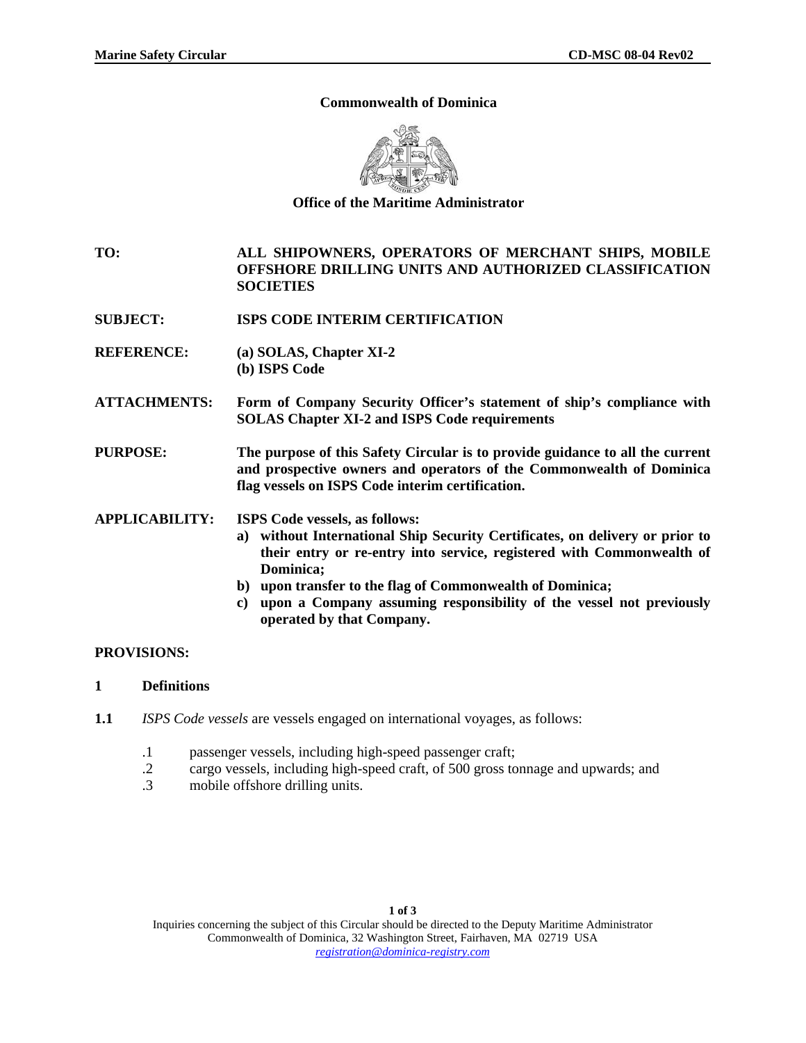#### **Commonwealth of Dominica**



**Office of the Maritime Administrator** 

**TO: ALL SHIPOWNERS, OPERATORS OF MERCHANT SHIPS, MOBILE OFFSHORE DRILLING UNITS AND AUTHORIZED CLASSIFICATION SOCIETIES** 

- **SUBJECT: ISPS CODE INTERIM CERTIFICATION**
- **REFERENCE: (a) SOLAS, Chapter XI-2 (b) ISPS Code**
- **ATTACHMENTS: Form of Company Security Officer's statement of ship's compliance with SOLAS Chapter XI-2 and ISPS Code requirements**

**PURPOSE: The purpose of this Safety Circular is to provide guidance to all the current and prospective owners and operators of the Commonwealth of Dominica flag vessels on ISPS Code interim certification.** 

**APPLICABILITY: ISPS Code vessels, as follows:** 

- **a) without International Ship Security Certificates, on delivery or prior to their entry or re-entry into service, registered with Commonwealth of Dominica;**
- **b) upon transfer to the flag of Commonwealth of Dominica;**
- **c) upon a Company assuming responsibility of the vessel not previously operated by that Company.**

### **PROVISIONS:**

- **1 Definitions**
- **1.1** *ISPS Code vessels* are vessels engaged on international voyages, as follows:
	- .1 passenger vessels, including high-speed passenger craft;
	- .2 cargo vessels, including high-speed craft, of 500 gross tonnage and upwards; and
	- mobile offshore drilling units.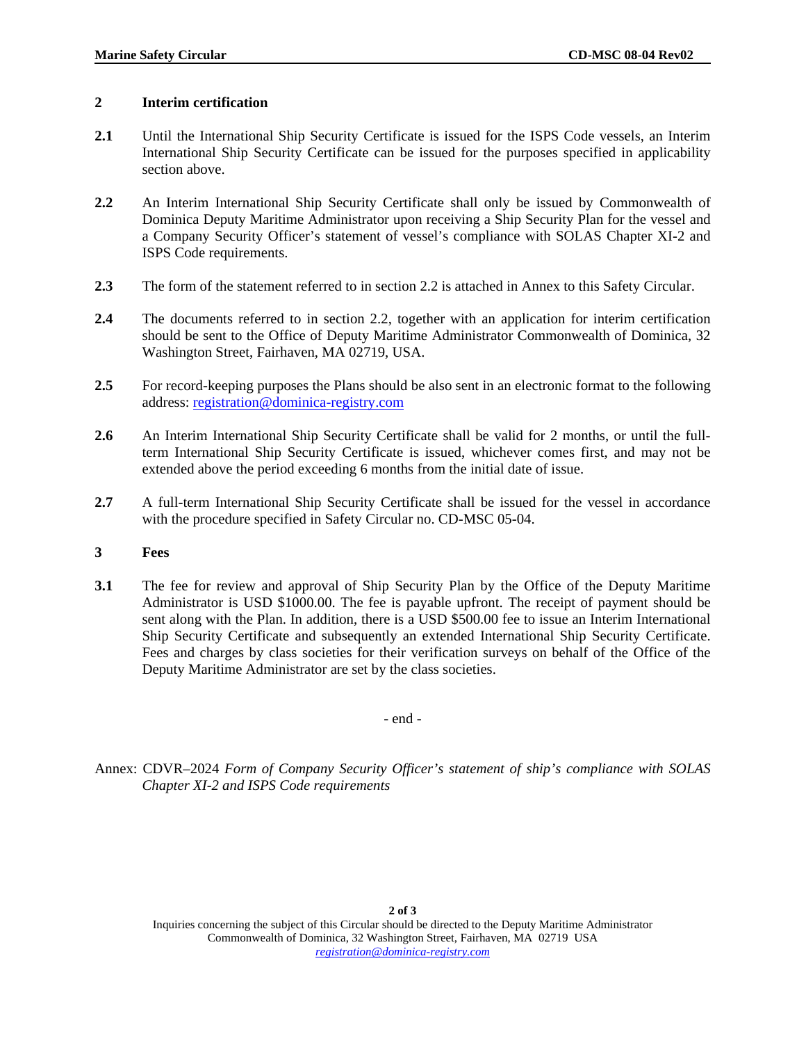### **2 Interim certification**

- 2.1 Until the International Ship Security Certificate is issued for the ISPS Code vessels, an Interim International Ship Security Certificate can be issued for the purposes specified in applicability section above.
- **2.2** An Interim International Ship Security Certificate shall only be issued by Commonwealth of Dominica Deputy Maritime Administrator upon receiving a Ship Security Plan for the vessel and a Company Security Officer's statement of vessel's compliance with SOLAS Chapter XI-2 and ISPS Code requirements.
- **2.3** The form of the statement referred to in section 2.2 is attached in Annex to this Safety Circular.
- **2.4** The documents referred to in section 2.2, together with an application for interim certification should be sent to the Office of Deputy Maritime Administrator Commonwealth of Dominica, 32 Washington Street, Fairhaven, MA 02719, USA.
- **2.5** For record-keeping purposes the Plans should be also sent in an electronic format to the following address: [registration@dominica-registry.com](mailto:registration@dominica-registry.com)
- **2.6** An Interim International Ship Security Certificate shall be valid for 2 months, or until the fullterm International Ship Security Certificate is issued, whichever comes first, and may not be extended above the period exceeding 6 months from the initial date of issue.
- **2.7** A full-term International Ship Security Certificate shall be issued for the vessel in accordance with the procedure specified in Safety Circular no. CD-MSC 05-04.
- **3 Fees**
- **3.1** The fee for review and approval of Ship Security Plan by the Office of the Deputy Maritime Administrator is USD \$1000.00. The fee is payable upfront. The receipt of payment should be sent along with the Plan. In addition, there is a USD \$500.00 fee to issue an Interim International Ship Security Certificate and subsequently an extended International Ship Security Certificate. Fees and charges by class societies for their verification surveys on behalf of the Office of the Deputy Maritime Administrator are set by the class societies.

- end -

Annex: CDVR–2024 *Form of Company Security Officer's statement of ship's compliance with SOLAS Chapter XI-2 and ISPS Code requirements*